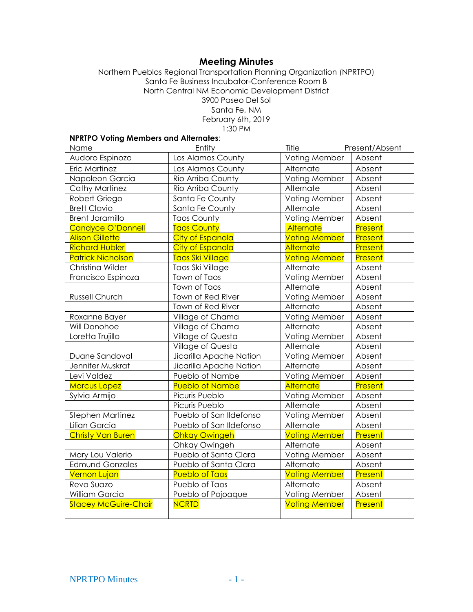# **Meeting Minutes**

Northern Pueblos Regional Transportation Planning Organization (NPRTPO) Santa Fe Business Incubator-Conference Room B North Central NM Economic Development District 3900 Paseo Del Sol Santa Fe, NM February 6th, 2019 1:30 PM

# **NPRTPO Voting Members and Alternates**:

| Name                        | Entity                  | Title                | Present/Absent |
|-----------------------------|-------------------------|----------------------|----------------|
| Audoro Espinoza             | Los Alamos County       | Voting Member        | Absent         |
| Eric Martinez               | Los Alamos County       | Alternate            | Absent         |
| Napoleon Garcia             | Rio Arriba County       | Voting Member        | Absent         |
| Cathy Martinez              | Rio Arriba County       | Alternate            | Absent         |
| Robert Griego               | Santa Fe County         | Voting Member        | Absent         |
| <b>Brett Clavio</b>         | Santa Fe County         | Alternate            | Absent         |
| <b>Brent Jaramillo</b>      | <b>Taos County</b>      | Voting Member        | Absent         |
| <b>Candyce O'Donnell</b>    | <b>Taos County</b>      | Alternate            | Present        |
| <b>Alison Gillette</b>      | <b>City of Espanola</b> | <b>Voting Member</b> | Present        |
| <b>Richard Hubler</b>       | City of Espanola        | <b>Alternate</b>     | Present        |
| <b>Patrick Nicholson</b>    | Taos Ski Village        | <b>Voting Member</b> | Present        |
| Christina Wilder            | Taos Ski Village        | Alternate            | Absent         |
| Francisco Espinoza          | Town of Taos            | Voting Member        | Absent         |
|                             | Town of Taos            | Alternate            | Absent         |
| Russell Church              | Town of Red River       | Voting Member        | Absent         |
|                             | Town of Red River       | Alternate            | Absent         |
| Roxanne Bayer               | Village of Chama        | Voting Member        | Absent         |
| Will Donohoe                | Village of Chama        | Alternate            | Absent         |
| Loretta Trujillo            | Village of Questa       | Voting Member        | Absent         |
|                             | Village of Questa       | Alternate            | Absent         |
| Duane Sandoval              | Jicarilla Apache Nation | Voting Member        | Absent         |
| Jennifer Muskrat            | Jicarilla Apache Nation | Alternate            | Absent         |
| Levi Valdez                 | Pueblo of Nambe         | Voting Member        | Absent         |
| <b>Marcus Lopez</b>         | <b>Pueblo of Nambe</b>  | <b>Alternate</b>     | Present        |
| Sylvia Armijo               | Picuris Pueblo          | Voting Member        | Absent         |
|                             | Picuris Pueblo          | Alternate            | Absent         |
| Stephen Martinez            | Pueblo of San Ildefonso | Voting Member        | Absent         |
| Lilian Garcia               | Pueblo of San Ildefonso | Alternate            | Absent         |
| <b>Christy Van Buren</b>    | <b>Ohkay Owingeh</b>    | <b>Voting Member</b> | Present        |
|                             | Ohkay Owingeh           | Alternate            | Absent         |
| Mary Lou Valerio            | Pueblo of Santa Clara   | Voting Member        | Absent         |
| <b>Edmund Gonzales</b>      | Pueblo of Santa Clara   | Alternate            | Absent         |
| <b>Vernon Lujan</b>         | <b>Pueblo of Taos</b>   | <b>Voting Member</b> | Present        |
| Reva Suazo                  | Pueblo of Taos          | Alternate            | Absent         |
| William Garcia              | Pueblo of Pojoaque      | Voting Member        | Absent         |
| <b>Stacey McGuire-Chair</b> | <b>NCRTD</b>            | <b>Voting Member</b> | Present        |
|                             |                         |                      |                |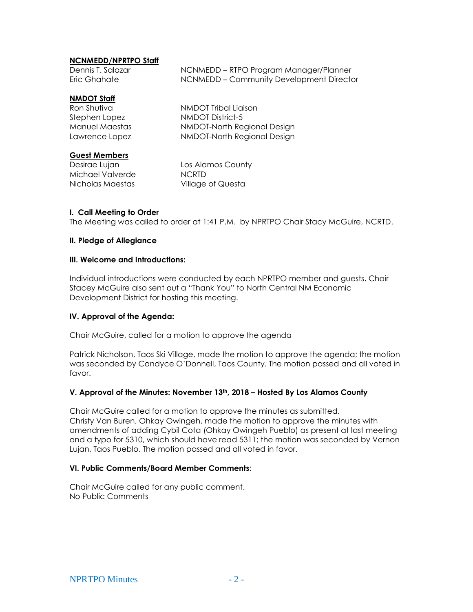# **NCNMEDD/NPRTPO Staff**

| Dennis T. Salazar | NCNMEDD – RTPO Program Manager/Planner   |
|-------------------|------------------------------------------|
| Eric Ghahate      | NCNMEDD – Community Development Director |

# **NMDOT Staff**

| Ron Shutiva    | NMDOT Tribal Liaison        |
|----------------|-----------------------------|
| Stephen Lopez  | NMDOT District-5            |
| Manuel Maestas | NMDOT-North Regional Design |
| Lawrence Lopez | NMDOT-North Regional Design |

# **Guest Members**

Michael Valverde NCRTD Nicholas Maestas Village of Questa

Desirae Lujan Los Alamos County

# **I. Call Meeting to Order**

The Meeting was called to order at 1:41 P.M. by NPRTPO Chair Stacy McGuire, NCRTD.

### **II. Pledge of Allegiance**

#### **III. Welcome and Introductions:**

Individual introductions were conducted by each NPRTPO member and guests. Chair Stacey McGuire also sent out a "Thank You" to North Central NM Economic Development District for hosting this meeting.

# **IV. Approval of the Agenda:**

Chair McGuire, called for a motion to approve the agenda

Patrick Nicholson, Taos Ski Village, made the motion to approve the agenda; the motion was seconded by Candyce O'Donnell, Taos County. The motion passed and all voted in favor.

# **V. Approval of the Minutes: November 13th, 2018 – Hosted By Los Alamos County**

Chair McGuire called for a motion to approve the minutes as submitted. Christy Van Buren, Ohkay Owingeh, made the motion to approve the minutes with amendments of adding Cybil Cota (Ohkay Owingeh Pueblo) as present at last meeting and a typo for 5310, which should have read 5311; the motion was seconded by Vernon Lujan, Taos Pueblo. The motion passed and all voted in favor.

#### **VI. Public Comments/Board Member Comments**:

Chair McGuire called for any public comment. No Public Comments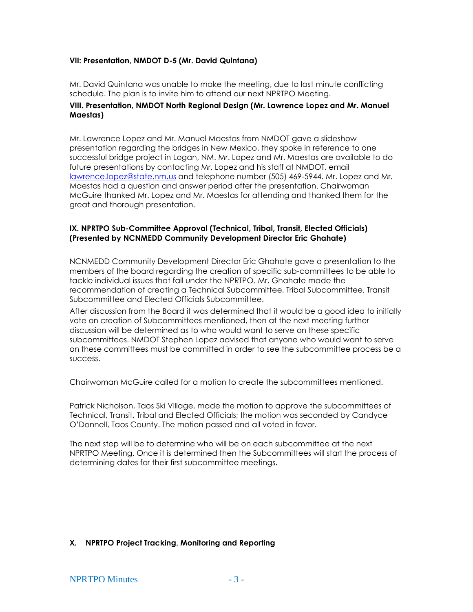# **VII: Presentation, NMDOT D-5 (Mr. David Quintana)**

Mr. David Quintana was unable to make the meeting, due to last minute conflicting schedule. The plan is to invite him to attend our next NPRTPO Meeting.

### **VIII. Presentation, NMDOT North Regional Design (Mr. Lawrence Lopez and Mr. Manuel Maestas)**

Mr. Lawrence Lopez and Mr. Manuel Maestas from NMDOT gave a slideshow presentation regarding the bridges in New Mexico, they spoke in reference to one successful bridge project in Logan, NM. Mr. Lopez and Mr. Maestas are available to do future presentations by contacting Mr. Lopez and his staff at NMDOT, email [lawrence.lopez@state.nm.us](mailto:lawrence.lopez@state.nm.us) and telephone number (505) 469-5944. Mr. Lopez and Mr. Maestas had a question and answer period after the presentation. Chairwoman McGuire thanked Mr. Lopez and Mr. Maestas for attending and thanked them for the great and thorough presentation.

### **IX. NPRTPO Sub-Committee Approval (Technical, Tribal, Transit, Elected Officials) (Presented by NCNMEDD Community Development Director Eric Ghahate)**

NCNMEDD Community Development Director Eric Ghahate gave a presentation to the members of the board regarding the creation of specific sub-committees to be able to tackle individual issues that fall under the NPRTPO. Mr. Ghahate made the recommendation of creating a Technical Subcommittee, Tribal Subcommittee, Transit Subcommittee and Elected Officials Subcommittee.

After discussion from the Board it was determined that it would be a good idea to initially vote on creation of Subcommittees mentioned, then at the next meeting further discussion will be determined as to who would want to serve on these specific subcommittees. NMDOT Stephen Lopez advised that anyone who would want to serve on these committees must be committed in order to see the subcommittee process be a success.

Chairwoman McGuire called for a motion to create the subcommittees mentioned.

Patrick Nicholson, Taos Ski Village, made the motion to approve the subcommittees of Technical, Transit, Tribal and Elected Officials; the motion was seconded by Candyce O'Donnell, Taos County. The motion passed and all voted in favor.

The next step will be to determine who will be on each subcommittee at the next NPRTPO Meeting. Once it is determined then the Subcommittees will start the process of determining dates for their first subcommittee meetings.

# **X. NPRTPO Project Tracking, Monitoring and Reporting**